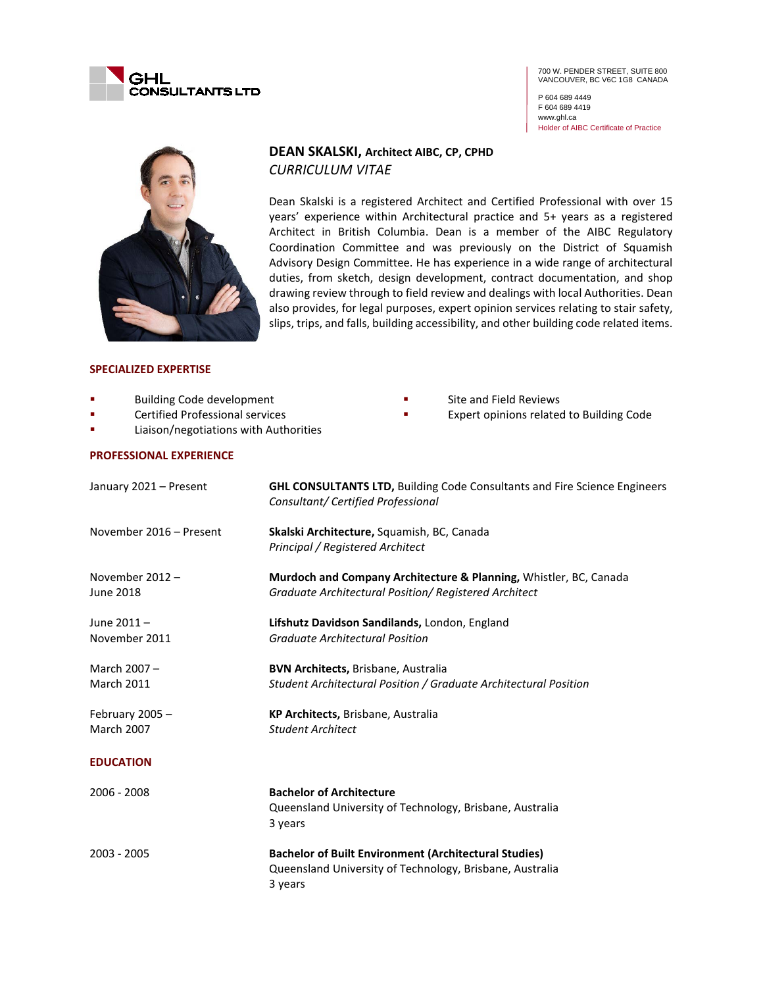

700 W. PENDER STREET, SUITE 800 VANCOUVER, BC V6C 1G8 CANADA

P 604 689 4449 F 604 689 4419 www.ghl.ca Holder of AIBC Certificate of Practice



# **DEAN SKALSKI, Architect AIBC, CP, CPHD** *CURRICULUM VITAE*

Dean Skalski is a registered Architect and Certified Professional with over 15 years' experience within Architectural practice and 5+ years as a registered Architect in British Columbia. Dean is a member of the AIBC Regulatory Coordination Committee and was previously on the District of Squamish Advisory Design Committee. He has experience in a wide range of architectural duties, from sketch, design development, contract documentation, and shop drawing review through to field review and dealings with local Authorities. Dean also provides, for legal purposes, expert opinion services relating to stair safety, slips, trips, and falls, building accessibility, and other building code related items.

### **SPECIALIZED EXPERTISE**

- Building Code development
- **Exercified Professional services**
- **Example 21 Eliaison/negotiations with Authorities**

#### **PROFESSIONAL EXPERIENCE**

- Site and Field Reviews
- Expert opinions related to Building Code

| January 2021 - Present               | <b>GHL CONSULTANTS LTD, Building Code Consultants and Fire Science Engineers</b><br>Consultant/ Certified Professional     |
|--------------------------------------|----------------------------------------------------------------------------------------------------------------------------|
| November 2016 - Present              | Skalski Architecture, Squamish, BC, Canada<br>Principal / Registered Architect                                             |
| November $2012 -$<br>June 2018       | Murdoch and Company Architecture & Planning, Whistler, BC, Canada<br>Graduate Architectural Position/ Registered Architect |
| June 2011-<br>November 2011          | Lifshutz Davidson Sandilands, London, England<br><b>Graduate Architectural Position</b>                                    |
| March 2007-<br><b>March 2011</b>     | <b>BVN Architects, Brisbane, Australia</b><br>Student Architectural Position / Graduate Architectural Position             |
| February 2005 -<br><b>March 2007</b> | KP Architects, Brisbane, Australia<br><b>Student Architect</b>                                                             |
| <b>EDUCATION</b>                     |                                                                                                                            |
| 2006 - 2008                          | <b>Bachelor of Architecture</b><br>Queensland University of Technology, Brisbane, Australia<br>3 years                     |
| 2003 - 2005                          | <b>Bachelor of Built Environment (Architectural Studies)</b><br>Queensland University of Technology, Brisbane, Australia   |

3 years